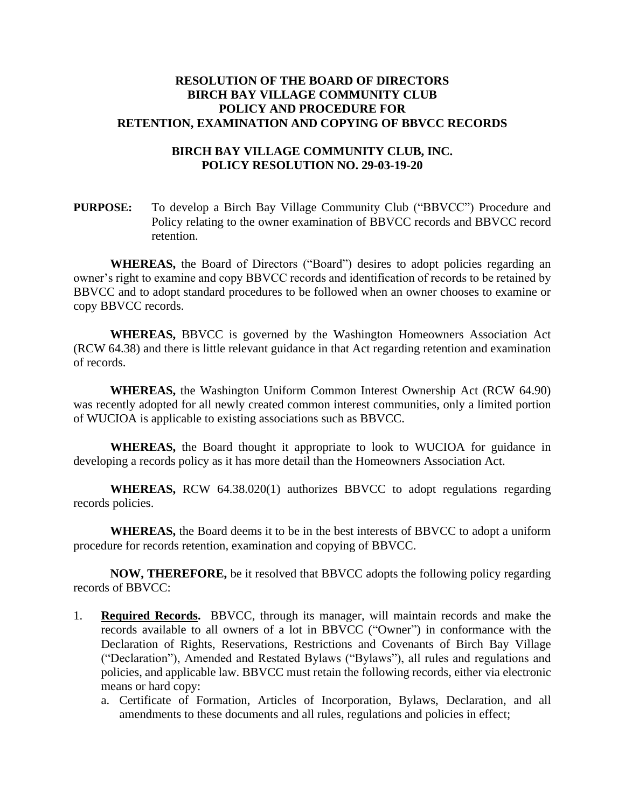## **RESOLUTION OF THE BOARD OF DIRECTORS BIRCH BAY VILLAGE COMMUNITY CLUB POLICY AND PROCEDURE FOR RETENTION, EXAMINATION AND COPYING OF BBVCC RECORDS**

## **BIRCH BAY VILLAGE COMMUNITY CLUB, INC. POLICY RESOLUTION NO. 29-03-19-20**

**PURPOSE:** To develop a Birch Bay Village Community Club ("BBVCC") Procedure and Policy relating to the owner examination of BBVCC records and BBVCC record retention.

**WHEREAS,** the Board of Directors ("Board") desires to adopt policies regarding an owner's right to examine and copy BBVCC records and identification of records to be retained by BBVCC and to adopt standard procedures to be followed when an owner chooses to examine or copy BBVCC records.

**WHEREAS,** BBVCC is governed by the Washington Homeowners Association Act (RCW 64.38) and there is little relevant guidance in that Act regarding retention and examination of records.

**WHEREAS,** the Washington Uniform Common Interest Ownership Act (RCW 64.90) was recently adopted for all newly created common interest communities, only a limited portion of WUCIOA is applicable to existing associations such as BBVCC.

**WHEREAS,** the Board thought it appropriate to look to WUCIOA for guidance in developing a records policy as it has more detail than the Homeowners Association Act.

**WHEREAS,** RCW 64.38.020(1) authorizes BBVCC to adopt regulations regarding records policies.

**WHEREAS,** the Board deems it to be in the best interests of BBVCC to adopt a uniform procedure for records retention, examination and copying of BBVCC.

**NOW, THEREFORE,** be it resolved that BBVCC adopts the following policy regarding records of BBVCC:

- 1. **Required Records.** BBVCC, through its manager, will maintain records and make the records available to all owners of a lot in BBVCC ("Owner") in conformance with the Declaration of Rights, Reservations, Restrictions and Covenants of Birch Bay Village ("Declaration"), Amended and Restated Bylaws ("Bylaws"), all rules and regulations and policies, and applicable law. BBVCC must retain the following records, either via electronic means or hard copy:
	- a. Certificate of Formation, Articles of Incorporation, Bylaws, Declaration, and all amendments to these documents and all rules, regulations and policies in effect;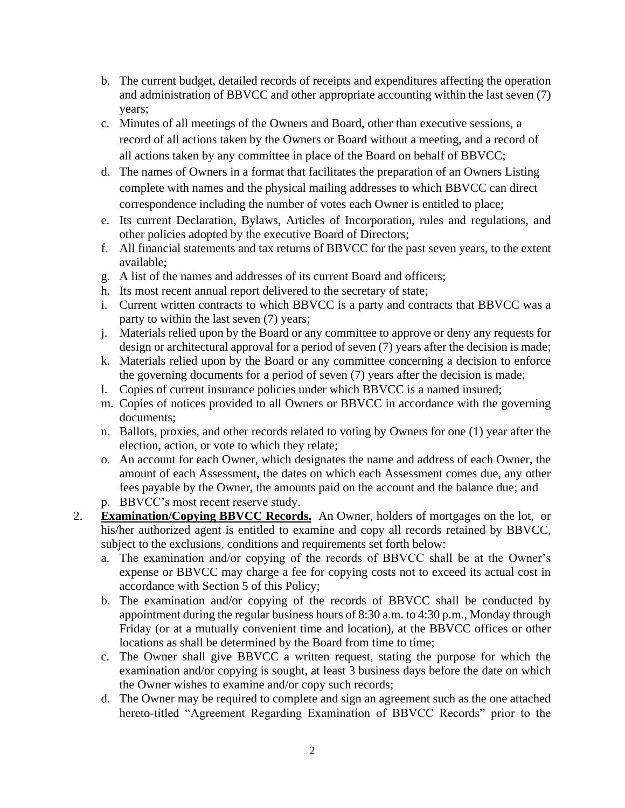- b. The current budget, detailed records of receipts and expenditures affecting the operation and administration of BBVCC and other appropriate accounting within the last seven (7) years;
- c. Minutes of all meetings of the Owners and Board, other than executive sessions, a record of all actions taken by the Owners or Board without a meeting, and a record of all actions taken by any committee in place of the Board on behalf of BBVCC;
- d. The names of Owners in a format that facilitates the preparation of an Owners Listing complete with names and the physical mailing addresses to which BBVCC can direct correspondence including the number of votes each Owner is entitled to place;
- e. Its current Declaration, Bylaws, Articles of Incorporation, rules and regulations, and other policies adopted by the executive Board of Directors;
- f. All financial statements and tax returns of BBVCC for the past seven years, to the extent available;
- g. A list of the names and addresses of its current Board and officers;
- h. Its most recent annual report delivered to the secretary of state;
- i. Current written contracts to which BBVCC is a party and contracts that BBVCC was a party to within the last seven (7) years;
- j. Materials relied upon by the Board or any committee to approve or deny any requests for design or architectural approval for a period of seven (7) years after the decision is made;
- k. Materials relied upon by the Board or any committee concerning a decision to enforce the governing documents for a period of seven (7) years after the decision is made;
- l. Copies of current insurance policies under which BBVCC is a named insured;
- m. Copies of notices provided to all Owners or BBVCC in accordance with the governing documents;
- n. Ballots, proxies, and other records related to voting by Owners for one (1) year after the election, action, or vote to which they relate;
- o. An account for each Owner, which designates the name and address of each Owner, the amount of each Assessment, the dates on which each Assessment comes due, any other fees payable by the Owner, the amounts paid on the account and the balance due; and
- p. BBVCC's most recent reserve study.
- 2. **Examination/Copying BBVCC Records.** An Owner, holders of mortgages on the lot, or his/her authorized agent is entitled to examine and copy all records retained by BBVCC, subject to the exclusions, conditions and requirements set forth below:
	- a. The examination and/or copying of the records of BBVCC shall be at the Owner's expense or BBVCC may charge a fee for copying costs not to exceed its actual cost in accordance with Section 5 of this Policy;
	- b. The examination and/or copying of the records of BBVCC shall be conducted by appointment during the regular business hours of 8:30 a.m. to 4:30 p.m., Monday through Friday (or at a mutually convenient time and location), at the BBVCC offices or other locations as shall be determined by the Board from time to time;
	- c. The Owner shall give BBVCC a written request, stating the purpose for which the examination and/or copying is sought, at least 3 business days before the date on which the Owner wishes to examine and/or copy such records;
	- d. The Owner may be required to complete and sign an agreement such as the one attached hereto-titled "Agreement Regarding Examination of BBVCC Records" prior to the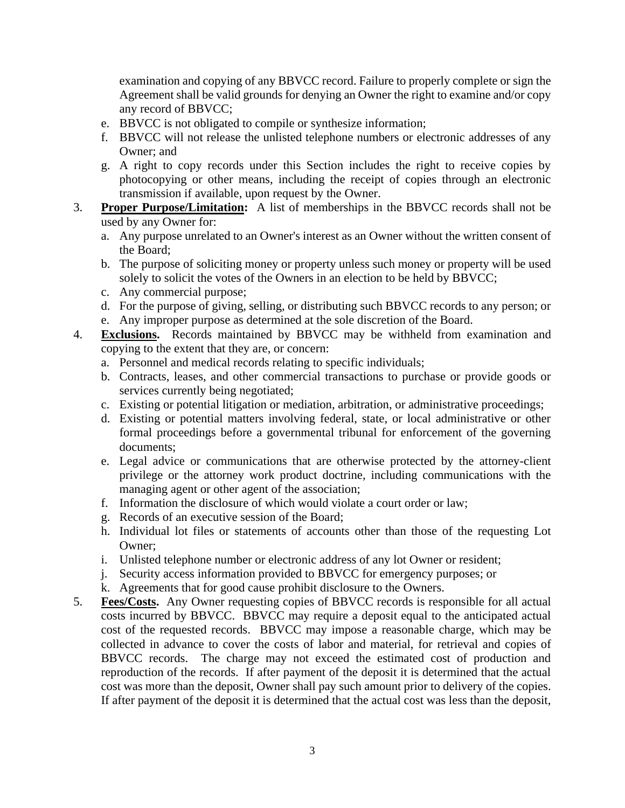examination and copying of any BBVCC record. Failure to properly complete or sign the Agreement shall be valid grounds for denying an Owner the right to examine and/or copy any record of BBVCC;

- e. BBVCC is not obligated to compile or synthesize information;
- f. BBVCC will not release the unlisted telephone numbers or electronic addresses of any Owner; and
- g. A right to copy records under this Section includes the right to receive copies by photocopying or other means, including the receipt of copies through an electronic transmission if available, upon request by the Owner.
- 3. **Proper Purpose/Limitation:** A list of memberships in the BBVCC records shall not be used by any Owner for:
	- a. Any purpose unrelated to an Owner's interest as an Owner without the written consent of the Board;
	- b. The purpose of soliciting money or property unless such money or property will be used solely to solicit the votes of the Owners in an election to be held by BBVCC;
	- c. Any commercial purpose;
	- d. For the purpose of giving, selling, or distributing such BBVCC records to any person; or e. Any improper purpose as determined at the sole discretion of the Board.
- 4. **Exclusions.** Records maintained by BBVCC may be withheld from examination and copying to the extent that they are, or concern:
	- a. Personnel and medical records relating to specific individuals;
	- b. Contracts, leases, and other commercial transactions to purchase or provide goods or services currently being negotiated;
	- c. Existing or potential litigation or mediation, arbitration, or administrative proceedings;
	- d. Existing or potential matters involving federal, state, or local administrative or other formal proceedings before a governmental tribunal for enforcement of the governing documents;
	- e. Legal advice or communications that are otherwise protected by the attorney-client privilege or the attorney work product doctrine, including communications with the managing agent or other agent of the association;
	- f. Information the disclosure of which would violate a court order or law;
	- g. Records of an executive session of the Board;
	- h. Individual lot files or statements of accounts other than those of the requesting Lot Owner;
	- i. Unlisted telephone number or electronic address of any lot Owner or resident;
	- j. Security access information provided to BBVCC for emergency purposes; or
	- k. Agreements that for good cause prohibit disclosure to the Owners.
- 5. **Fees/Costs.** Any Owner requesting copies of BBVCC records is responsible for all actual costs incurred by BBVCC. BBVCC may require a deposit equal to the anticipated actual cost of the requested records. BBVCC may impose a reasonable charge, which may be collected in advance to cover the costs of labor and material, for retrieval and copies of BBVCC records. The charge may not exceed the estimated cost of production and reproduction of the records. If after payment of the deposit it is determined that the actual cost was more than the deposit, Owner shall pay such amount prior to delivery of the copies. If after payment of the deposit it is determined that the actual cost was less than the deposit,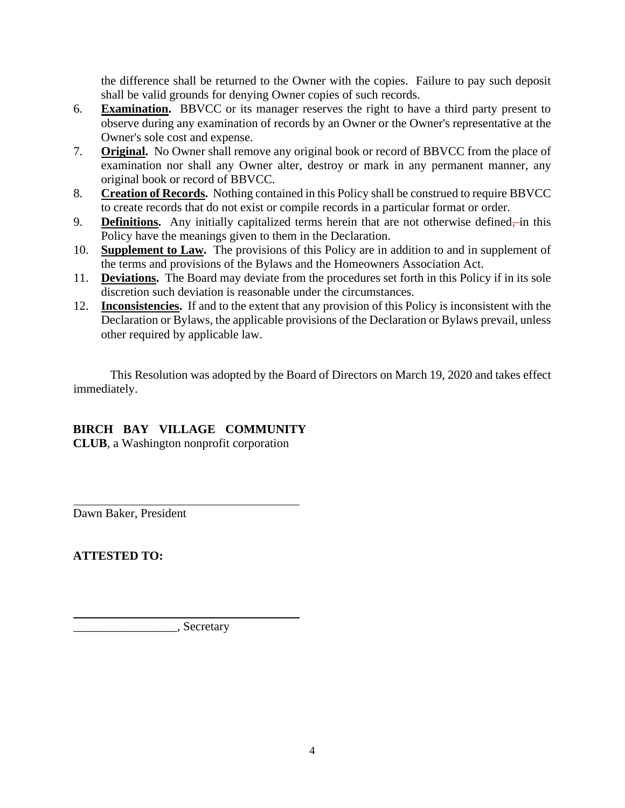the difference shall be returned to the Owner with the copies. Failure to pay such deposit shall be valid grounds for denying Owner copies of such records.

- 6. **Examination.** BBVCC or its manager reserves the right to have a third party present to observe during any examination of records by an Owner or the Owner's representative at the Owner's sole cost and expense.
- 7. **Original.** No Owner shall remove any original book or record of BBVCC from the place of examination nor shall any Owner alter, destroy or mark in any permanent manner, any original book or record of BBVCC.
- 8. **Creation of Records.** Nothing contained in this Policy shall be construed to require BBVCC to create records that do not exist or compile records in a particular format or order.
- 9. **Definitions.** Any initially capitalized terms herein that are not otherwise defined—in this Policy have the meanings given to them in the Declaration.
- 10. **Supplement to Law.** The provisions of this Policy are in addition to and in supplement of the terms and provisions of the Bylaws and the Homeowners Association Act.
- 11. **Deviations.** The Board may deviate from the procedures set forth in this Policy if in its sole discretion such deviation is reasonable under the circumstances.
- 12. **Inconsistencies.** If and to the extent that any provision of this Policy is inconsistent with the Declaration or Bylaws, the applicable provisions of the Declaration or Bylaws prevail, unless other required by applicable law.

This Resolution was adopted by the Board of Directors on March 19, 2020 and takes effect immediately.

## **BIRCH BAY VILLAGE COMMUNITY**

**CLUB**, a Washington nonprofit corporation

Dawn Baker, President

**ATTESTED TO:**

\_\_\_\_\_\_\_\_\_\_\_\_\_\_\_\_\_, Secretary